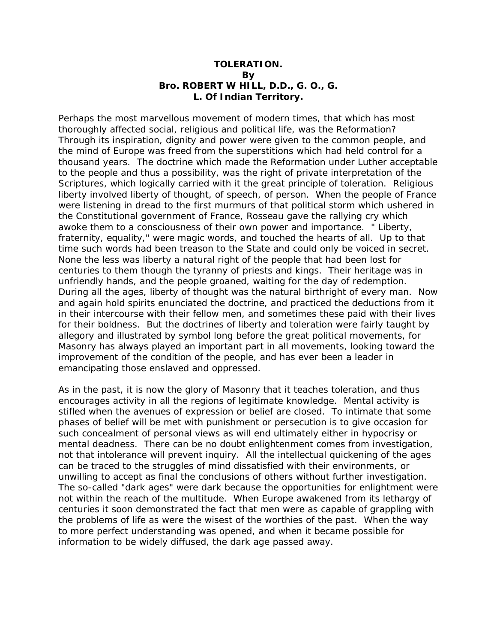## **TOLERATION. By Bro. ROBERT W HILL, D.D., G. O., G. L. Of Indian Territory.**

Perhaps the most marvellous movement of modern times, that which has most thoroughly affected social, religious and political life, was the Reformation? Through its inspiration, dignity and power were given to the common people, and the mind of Europe was freed from the superstitions which had held control for a thousand years. The doctrine which made the Reformation under Luther acceptable to the people and thus a possibility, was the right of private interpretation of the Scriptures, which logically carried with it the great principle of toleration. Religious liberty involved liberty of thought, of speech, of person. When the people of France were listening in dread to the first murmurs of that political storm which ushered in the Constitutional government of France, Rosseau gave the rallying cry which awoke them to a consciousness of their own power and importance. " Liberty, fraternity, equality," were magic words, and touched the hearts of all. Up to that time such words had been treason to the State and could only be voiced in secret. None the less was liberty a natural right of the people that had been lost for centuries to them though the tyranny of priests and kings. Their heritage was in unfriendly hands, and the people groaned, waiting for the day of redemption. During all the ages, liberty of thought was the natural birthright of every man. Now and again hold spirits enunciated the doctrine, and practiced the deductions from it in their intercourse with their fellow men, and sometimes these paid with their lives for their boldness. But the doctrines of liberty and toleration were fairly taught by allegory and illustrated by symbol long before the great political movements, for Masonry has always played an important part in all movements, looking toward the improvement of the condition of the people, and has ever been a leader in emancipating those enslaved and oppressed.

As in the past, it is now the glory of Masonry that it teaches toleration, and thus encourages activity in all the regions of legitimate knowledge. Mental activity is stifled when the avenues of expression or belief are closed. To intimate that some phases of belief will be met with punishment or persecution is to give occasion for such concealment of personal views as will end ultimately either in hypocrisy or mental deadness. There can be no doubt enlightenment comes from investigation, not that intolerance will prevent inquiry. All the intellectual quickening of the ages can be traced to the struggles of mind dissatisfied with their environments, or unwilling to accept as final the conclusions of others without further investigation. The so-called "dark ages" were dark because the opportunities for enlightment were not within the reach of the multitude. When Europe awakened from its lethargy of centuries it soon demonstrated the fact that men were as capable of grappling with the problems of life as were the wisest of the worthies of the past. When the way to more perfect understanding was opened, and when it became possible for information to be widely diffused, the dark age passed away.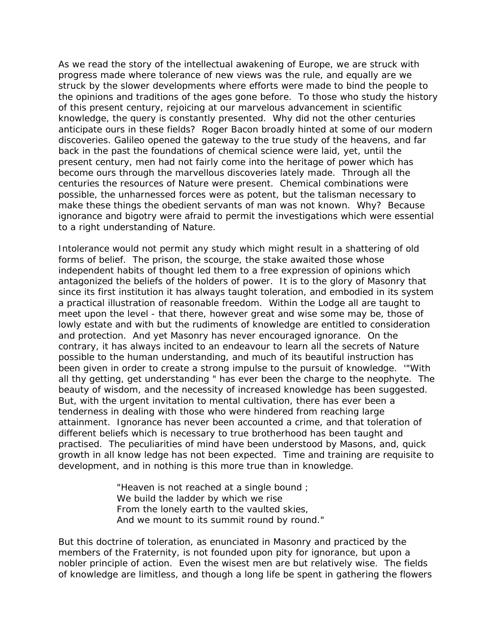As we read the story of the intellectual awakening of Europe, we are struck with progress made where tolerance of new views was the rule, and equally are we struck by the slower developments where efforts were made to bind the people to the opinions and traditions of the ages gone before. To those who study the history of this present century, rejoicing at our marvelous advancement in scientific knowledge, the query is constantly presented. Why did not the other centuries anticipate ours in these fields? Roger Bacon broadly hinted at some of our modern discoveries. Galileo opened the gateway to the true study of the heavens, and far back in the past the foundations of chemical science were laid, yet, until the present century, men had not fairly come into the heritage of power which has become ours through the marvellous discoveries lately made. Through all the centuries the resources of Nature were present. Chemical combinations were possible, the unharnessed forces were as potent, but the talisman necessary to make these things the obedient servants of man was not known. Why? Because ignorance and bigotry were afraid to permit the investigations which were essential to a right understanding of Nature.

Intolerance would not permit any study which might result in a shattering of old forms of belief. The prison, the scourge, the stake awaited those whose independent habits of thought led them to a free expression of opinions which antagonized the beliefs of the holders of power. It is to the glory of Masonry that since its first institution it has always taught toleration, and embodied in its system a practical illustration of reasonable freedom. Within the Lodge all are taught to meet upon the level - that there, however great and wise some may be, those of lowly estate and with but the rudiments of knowledge are entitled to consideration and protection. And yet Masonry has never encouraged ignorance. On the contrary, it has always incited to an endeavour to learn all the secrets of Nature possible to the human understanding, and much of its beautiful instruction has been given in order to create a strong impulse to the pursuit of knowledge. '"With all thy getting, get understanding " has ever been the charge to the neophyte. The beauty of wisdom, and the necessity of increased knowledge has been suggested. But, with the urgent invitation to mental cultivation, there has ever been a tenderness in dealing with those who were hindered from reaching large attainment. Ignorance has never been accounted a crime, and that toleration of different beliefs which is necessary to true brotherhood has been taught and practised. The peculiarities of mind have been understood by Masons, and, quick growth in all know ledge has not been expected. Time and training are requisite to development, and in nothing is this more true than in knowledge.

> "Heaven is not reached at a single bound ; We build the ladder by which we rise From the lonely earth to the vaulted skies, And we mount to its summit round by round."

But this doctrine of toleration, as enunciated in Masonry and practiced by the members of the Fraternity, is not founded upon pity for ignorance, but upon a nobler principle of action. Even the wisest men are but relatively wise. The fields of knowledge are limitless, and though a long life be spent in gathering the flowers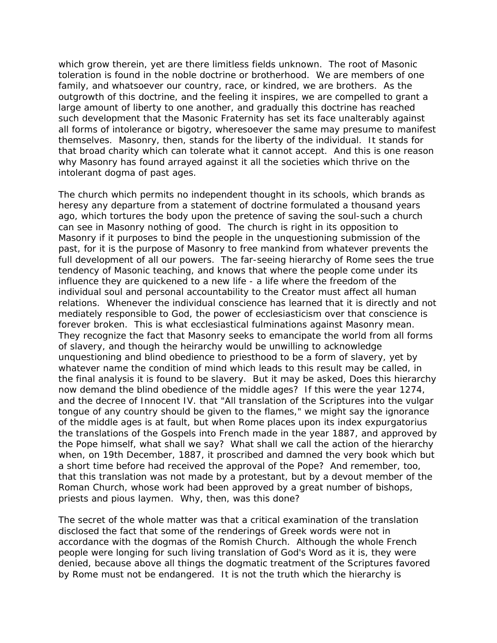which grow therein, yet are there limitless fields unknown. The root of Masonic toleration is found in the noble doctrine or brotherhood. We are members of one family, and whatsoever our country, race, or kindred, we are brothers. As the outgrowth of this doctrine, and the feeling it inspires, we are compelled to grant a large amount of liberty to one another, and gradually this doctrine has reached such development that the Masonic Fraternity has set its face unalterably against all forms of intolerance or bigotry, wheresoever the same may presume to manifest themselves. Masonry, then, stands for the liberty of the individual. It stands for that broad charity which can tolerate what it cannot accept. And this is one reason why Masonry has found arrayed against it all the societies which thrive on the intolerant dogma of past ages.

The church which permits no independent thought in its schools, which brands as heresy any departure from a statement of doctrine formulated a thousand years ago, which tortures the body upon the pretence of saving the soul-such a church can see in Masonry nothing of good. The church is right in its opposition to Masonry if it purposes to bind the people in the unquestioning submission of the past, for it is the purpose of Masonry to free mankind from whatever prevents the full development of all our powers. The far-seeing hierarchy of Rome sees the true tendency of Masonic teaching, and knows that where the people come under its influence they are quickened to a new life - a life where the freedom of the individual soul and personal accountability to the Creator must affect all human relations. Whenever the individual conscience has learned that it is directly and not mediately responsible to God, the power of ecclesiasticism over that conscience is forever broken. This is what ecclesiastical fulminations against Masonry mean. They recognize the fact that Masonry seeks to emancipate the world from all forms of slavery, and though the heirarchy would be unwilling to acknowledge unquestioning and blind obedience to priesthood to be a form of slavery, yet by whatever name the condition of mind which leads to this result may be called, in the final analysis it is found to be slavery. But it may be asked, Does this hierarchy now demand the blind obedience of the middle ages? If this were the year 1274, and the decree of Innocent IV. that "All translation of the Scriptures into the vulgar tongue of any country should be given to the flames," we might say the ignorance of the middle ages is at fault, but when Rome places upon its index expurgatorius the translations of the Gospels into French made in the year 1887, and approved by the Pope himself, what shall we say? What shall we call the action of the hierarchy when, on 19th December, 1887, it proscribed and damned the very book which but a short time before had received the approval of the Pope? And remember, too, that this translation was not made by a protestant, but by a devout member of the Roman Church, whose work had been approved by a great number of bishops, priests and pious laymen. Why, then, was this done?

The secret of the whole matter was that a critical examination of the translation disclosed the fact that some of the renderings of Greek words were not in accordance with the dogmas of the Romish Church. Although the whole French people were longing for such living translation of God's Word as it is, they were denied, because above all things the dogmatic treatment of the Scriptures favored by Rome must not be endangered. It is not the truth which the hierarchy is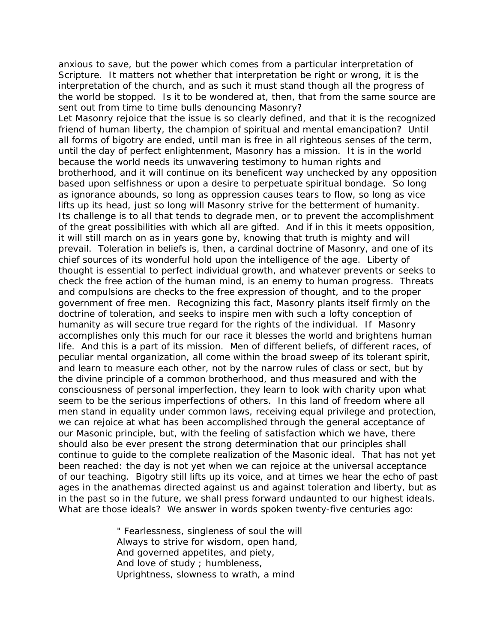anxious to save, but the power which comes from a particular interpretation of Scripture. It matters not whether that interpretation be right or wrong, it is the interpretation of the church, and as such it must stand though all the progress of the world be stopped. Is it to be wondered at, then, that from the same source are sent out from time to time bulls denouncing Masonry?

Let Masonry rejoice that the issue is so clearly defined, and that it is the recognized friend of human liberty, the champion of spiritual and mental emancipation? Until all forms of bigotry are ended, until man is free in all righteous senses of the term, until the day of perfect enlightenment, Masonry has a mission. It is in the world because the world needs its unwavering testimony to human rights and brotherhood, and it will continue on its beneficent way unchecked by any opposition based upon selfishness or upon a desire to perpetuate spiritual bondage. So long as ignorance abounds, so long as oppression causes tears to flow, so long as vice lifts up its head, just so long will Masonry strive for the betterment of humanity. Its challenge is to all that tends to degrade men, or to prevent the accomplishment of the great possibilities with which all are gifted. And if in this it meets opposition, it will still march on as in years gone by, knowing that truth is mighty and will prevail. Toleration in beliefs is, then, a cardinal doctrine of Masonry, and one of its chief sources of its wonderful hold upon the intelligence of the age. Liberty of thought is essential to perfect individual growth, and whatever prevents or seeks to check the free action of the human mind, is an enemy to human progress. Threats and compulsions are checks to the free expression of thought, and to the proper government of free men. Recognizing this fact, Masonry plants itself firmly on the doctrine of toleration, and seeks to inspire men with such a lofty conception of humanity as will secure true regard for the rights of the individual. If Masonry accomplishes only this much for our race it blesses the world and brightens human life. And this is a part of its mission. Men of different beliefs, of different races, of peculiar mental organization, all come within the broad sweep of its tolerant spirit, and learn to measure each other, not by the narrow rules of class or sect, but by the divine principle of a common brotherhood, and thus measured and with the consciousness of personal imperfection, they learn to look with charity upon what seem to be the serious imperfections of others. In this land of freedom where all men stand in equality under common laws, receiving equal privilege and protection, we can rejoice at what has been accomplished through the general acceptance of our Masonic principle, but, with the feeling of satisfaction which we have, there should also be ever present the strong determination that our principles shall continue to guide to the complete realization of the Masonic ideal. That has not yet been reached: the day is not yet when we can rejoice at the universal acceptance of our teaching. Bigotry still lifts up its voice, and at times we hear the echo of past ages in the anathemas directed against us and against toleration and liberty, but as in the past so in the future, we shall press forward undaunted to our highest ideals. What are those ideals? We answer in words spoken twenty-five centuries ago:

> " Fearlessness, singleness of soul the will Always to strive for wisdom, open hand, And governed appetites, and piety, And love of study ; humbleness, Uprightness, slowness to wrath, a mind